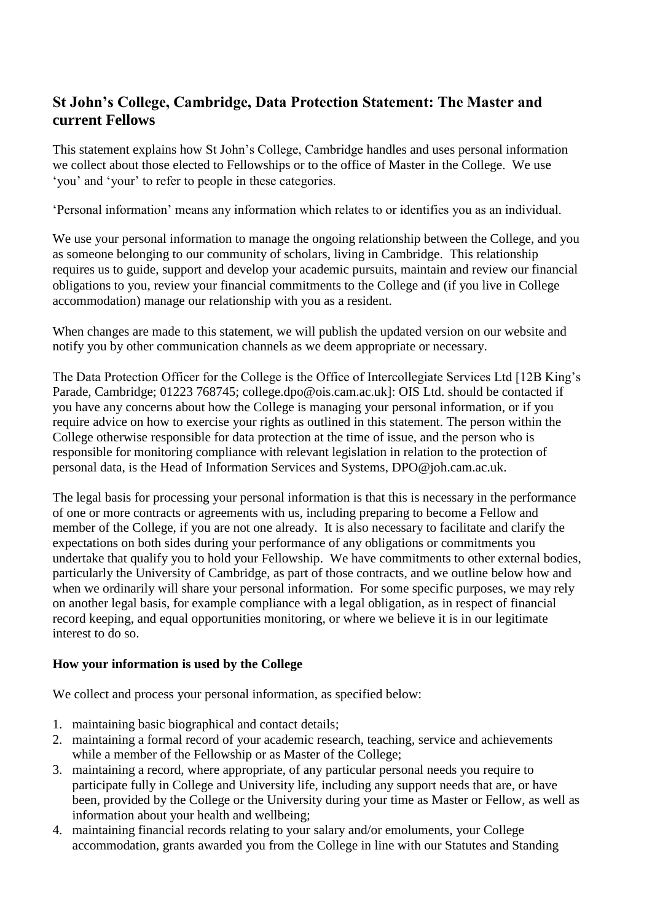# **St John's College, Cambridge, Data Protection Statement: The Master and current Fellows**

This statement explains how St John's College, Cambridge handles and uses personal information we collect about those elected to Fellowships or to the office of Master in the College. We use 'you' and 'your' to refer to people in these categories.

'Personal information' means any information which relates to or identifies you as an individual.

We use your personal information to manage the ongoing relationship between the College, and you as someone belonging to our community of scholars, living in Cambridge. This relationship requires us to guide, support and develop your academic pursuits, maintain and review our financial obligations to you, review your financial commitments to the College and (if you live in College accommodation) manage our relationship with you as a resident.

When changes are made to this statement, we will publish the updated version on our website and notify you by other communication channels as we deem appropriate or necessary.

The Data Protection Officer for the College is the Office of Intercollegiate Services Ltd [12B King's Parade, Cambridge; 01223 768745; college.dpo@ois.cam.ac.uk]: OIS Ltd. should be contacted if you have any concerns about how the College is managing your personal information, or if you require advice on how to exercise your rights as outlined in this statement. The person within the College otherwise responsible for data protection at the time of issue, and the person who is responsible for monitoring compliance with relevant legislation in relation to the protection of personal data, is the Head of Information Services and Systems, DPO@joh.cam.ac.uk.

The legal basis for processing your personal information is that this is necessary in the performance of one or more contracts or agreements with us, including preparing to become a Fellow and member of the College, if you are not one already. It is also necessary to facilitate and clarify the expectations on both sides during your performance of any obligations or commitments you undertake that qualify you to hold your Fellowship. We have commitments to other external bodies, particularly the University of Cambridge, as part of those contracts, and we outline below how and when we ordinarily will share your personal information. For some specific purposes, we may rely on another legal basis, for example compliance with a legal obligation, as in respect of financial record keeping, and equal opportunities monitoring, or where we believe it is in our legitimate interest to do so.

# **How your information is used by the College**

We collect and process your personal information, as specified below:

- 1. maintaining basic biographical and contact details;
- 2. maintaining a formal record of your academic research, teaching, service and achievements while a member of the Fellowship or as Master of the College;
- 3. maintaining a record, where appropriate, of any particular personal needs you require to participate fully in College and University life, including any support needs that are, or have been, provided by the College or the University during your time as Master or Fellow, as well as information about your health and wellbeing;
- 4. maintaining financial records relating to your salary and/or emoluments, your College accommodation, grants awarded you from the College in line with our Statutes and Standing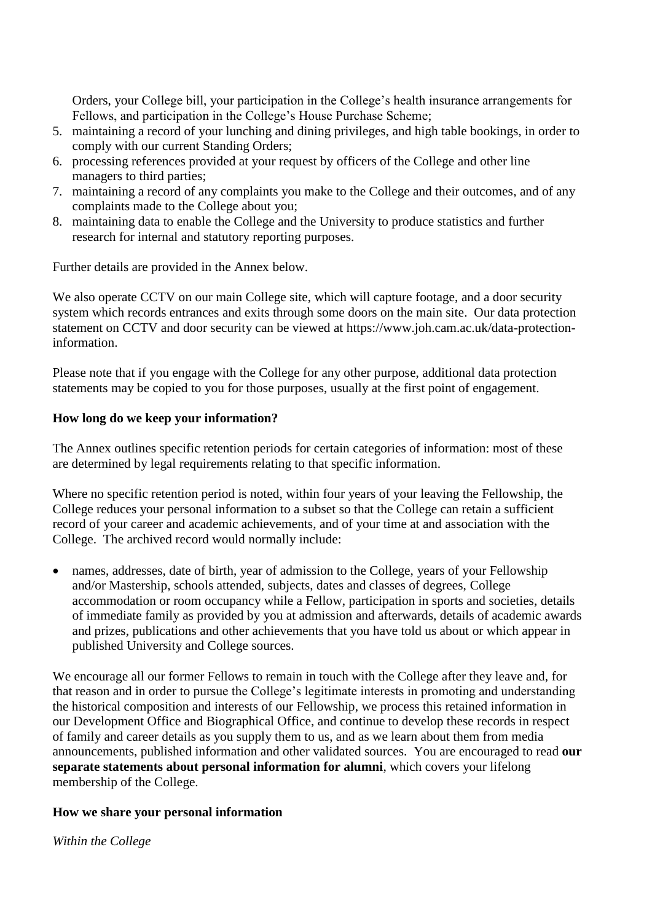Orders, your College bill, your participation in the College's health insurance arrangements for Fellows, and participation in the College's House Purchase Scheme;

- 5. maintaining a record of your lunching and dining privileges, and high table bookings, in order to comply with our current Standing Orders;
- 6. processing references provided at your request by officers of the College and other line managers to third parties;
- 7. maintaining a record of any complaints you make to the College and their outcomes, and of any complaints made to the College about you;
- 8. maintaining data to enable the College and the University to produce statistics and further research for internal and statutory reporting purposes.

Further details are provided in the Annex below.

We also operate CCTV on our main College site, which will capture footage, and a door security system which records entrances and exits through some doors on the main site. Our data protection statement on CCTV and door security can be viewed at https://www.joh.cam.ac.uk/data-protectioninformation.

Please note that if you engage with the College for any other purpose, additional data protection statements may be copied to you for those purposes, usually at the first point of engagement.

### **How long do we keep your information?**

The Annex outlines specific retention periods for certain categories of information: most of these are determined by legal requirements relating to that specific information.

Where no specific retention period is noted, within four years of your leaving the Fellowship, the College reduces your personal information to a subset so that the College can retain a sufficient record of your career and academic achievements, and of your time at and association with the College. The archived record would normally include:

• names, addresses, date of birth, year of admission to the College, years of your Fellowship and/or Mastership, schools attended, subjects, dates and classes of degrees, College accommodation or room occupancy while a Fellow, participation in sports and societies, details of immediate family as provided by you at admission and afterwards, details of academic awards and prizes, publications and other achievements that you have told us about or which appear in published University and College sources.

We encourage all our former Fellows to remain in touch with the College after they leave and, for that reason and in order to pursue the College's legitimate interests in promoting and understanding the historical composition and interests of our Fellowship, we process this retained information in our Development Office and Biographical Office, and continue to develop these records in respect of family and career details as you supply them to us, and as we learn about them from media announcements, published information and other validated sources. You are encouraged to read **our separate statements about personal information for alumni**, which covers your lifelong membership of the College.

### **How we share your personal information**

*Within the College*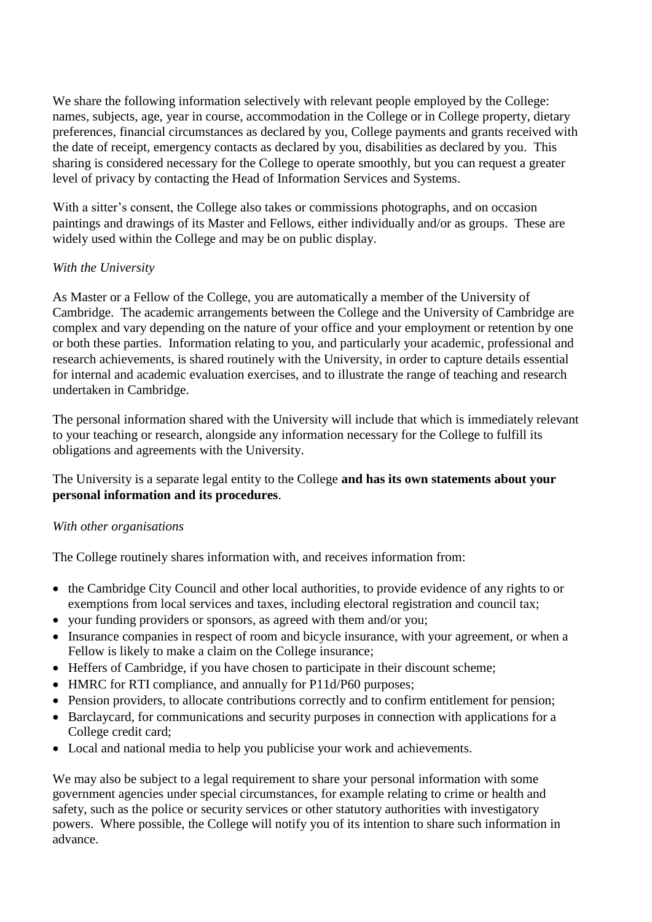We share the following information selectively with relevant people employed by the College: names, subjects, age, year in course, accommodation in the College or in College property, dietary preferences, financial circumstances as declared by you, College payments and grants received with the date of receipt, emergency contacts as declared by you, disabilities as declared by you. This sharing is considered necessary for the College to operate smoothly, but you can request a greater level of privacy by contacting the Head of Information Services and Systems.

With a sitter's consent, the College also takes or commissions photographs, and on occasion paintings and drawings of its Master and Fellows, either individually and/or as groups. These are widely used within the College and may be on public display.

### *With the University*

As Master or a Fellow of the College, you are automatically a member of the University of Cambridge. The academic arrangements between the College and the University of Cambridge are complex and vary depending on the nature of your office and your employment or retention by one or both these parties. Information relating to you, and particularly your academic, professional and research achievements, is shared routinely with the University, in order to capture details essential for internal and academic evaluation exercises, and to illustrate the range of teaching and research undertaken in Cambridge.

The personal information shared with the University will include that which is immediately relevant to your teaching or research, alongside any information necessary for the College to fulfill its obligations and agreements with the University.

# The University is a separate legal entity to the College **and has its own statements about your personal information and its procedures**.

### *With other organisations*

The College routinely shares information with, and receives information from:

- the Cambridge City Council and other local authorities, to provide evidence of any rights to or exemptions from local services and taxes, including electoral registration and council tax;
- your funding providers or sponsors, as agreed with them and/or you;
- Insurance companies in respect of room and bicycle insurance, with your agreement, or when a Fellow is likely to make a claim on the College insurance;
- Heffers of Cambridge, if you have chosen to participate in their discount scheme;
- HMRC for RTI compliance, and annually for P11d/P60 purposes;
- Pension providers, to allocate contributions correctly and to confirm entitlement for pension;
- Barclaycard, for communications and security purposes in connection with applications for a College credit card;
- Local and national media to help you publicise your work and achievements.

We may also be subject to a legal requirement to share your personal information with some government agencies under special circumstances, for example relating to crime or health and safety, such as the police or security services or other statutory authorities with investigatory powers. Where possible, the College will notify you of its intention to share such information in advance.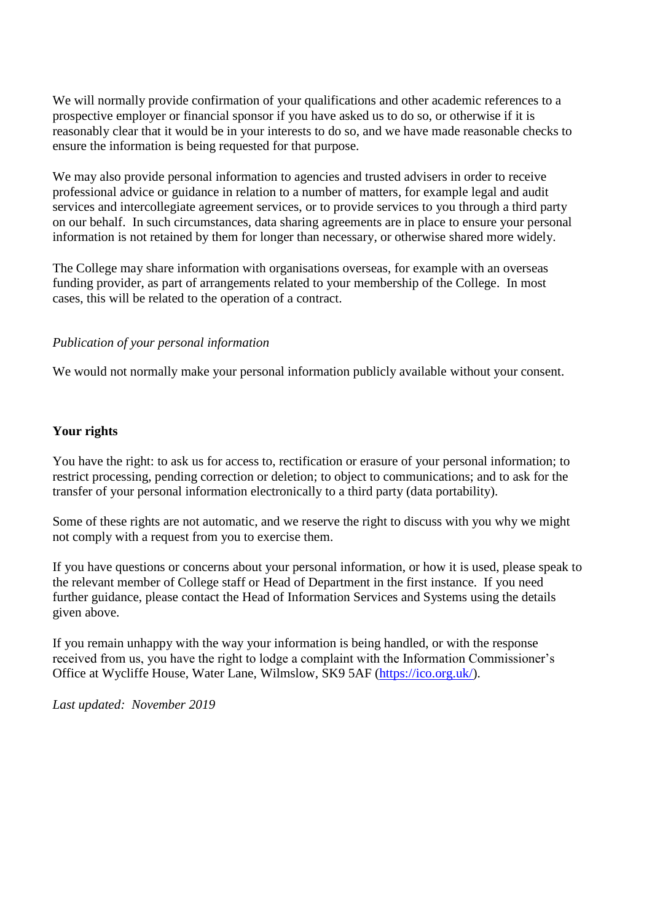We will normally provide confirmation of your qualifications and other academic references to a prospective employer or financial sponsor if you have asked us to do so, or otherwise if it is reasonably clear that it would be in your interests to do so, and we have made reasonable checks to ensure the information is being requested for that purpose.

We may also provide personal information to agencies and trusted advisers in order to receive professional advice or guidance in relation to a number of matters, for example legal and audit services and intercollegiate agreement services, or to provide services to you through a third party on our behalf. In such circumstances, data sharing agreements are in place to ensure your personal information is not retained by them for longer than necessary, or otherwise shared more widely.

The College may share information with organisations overseas, for example with an overseas funding provider, as part of arrangements related to your membership of the College. In most cases, this will be related to the operation of a contract.

#### *Publication of your personal information*

We would not normally make your personal information publicly available without your consent.

#### **Your rights**

You have the right: to ask us for access to, rectification or erasure of your personal information; to restrict processing, pending correction or deletion; to object to communications; and to ask for the transfer of your personal information electronically to a third party (data portability).

Some of these rights are not automatic, and we reserve the right to discuss with you why we might not comply with a request from you to exercise them.

If you have questions or concerns about your personal information, or how it is used, please speak to the relevant member of College staff or Head of Department in the first instance. If you need further guidance, please contact the Head of Information Services and Systems using the details given above.

If you remain unhappy with the way your information is being handled, or with the response received from us, you have the right to lodge a complaint with the Information Commissioner's Office at Wycliffe House, Water Lane, Wilmslow, SK9 5AF [\(https://ico.org.uk/\)](https://ico.org.uk/).

*Last updated: November 2019*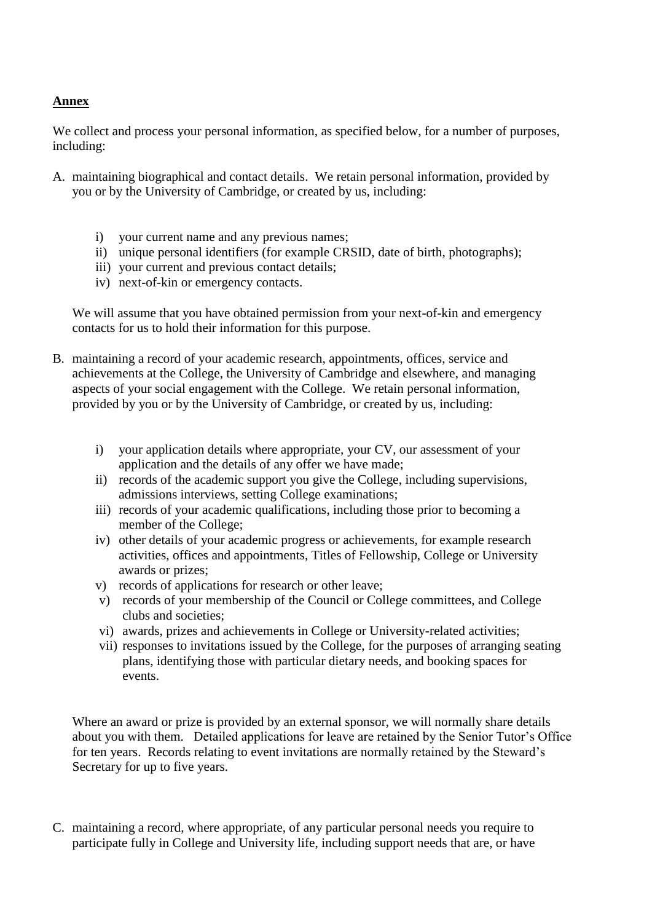### **Annex**

We collect and process your personal information, as specified below, for a number of purposes, including:

- A. maintaining biographical and contact details. We retain personal information, provided by you or by the University of Cambridge, or created by us, including:
	- i) your current name and any previous names;
	- ii) unique personal identifiers (for example CRSID, date of birth, photographs);
	- iii) your current and previous contact details;
	- iv) next-of-kin or emergency contacts.

We will assume that you have obtained permission from your next-of-kin and emergency contacts for us to hold their information for this purpose.

- B. maintaining a record of your academic research, appointments, offices, service and achievements at the College, the University of Cambridge and elsewhere, and managing aspects of your social engagement with the College. We retain personal information, provided by you or by the University of Cambridge, or created by us, including:
	- i) your application details where appropriate, your CV, our assessment of your application and the details of any offer we have made;
	- ii) records of the academic support you give the College, including supervisions, admissions interviews, setting College examinations;
	- iii) records of your academic qualifications, including those prior to becoming a member of the College;
	- iv) other details of your academic progress or achievements, for example research activities, offices and appointments, Titles of Fellowship, College or University awards or prizes;
	- v) records of applications for research or other leave;
	- v) records of your membership of the Council or College committees, and College clubs and societies;
	- vi) awards, prizes and achievements in College or University-related activities;
	- vii) responses to invitations issued by the College, for the purposes of arranging seating plans, identifying those with particular dietary needs, and booking spaces for events.

Where an award or prize is provided by an external sponsor, we will normally share details about you with them. Detailed applications for leave are retained by the Senior Tutor's Office for ten years. Records relating to event invitations are normally retained by the Steward's Secretary for up to five years.

C. maintaining a record, where appropriate, of any particular personal needs you require to participate fully in College and University life, including support needs that are, or have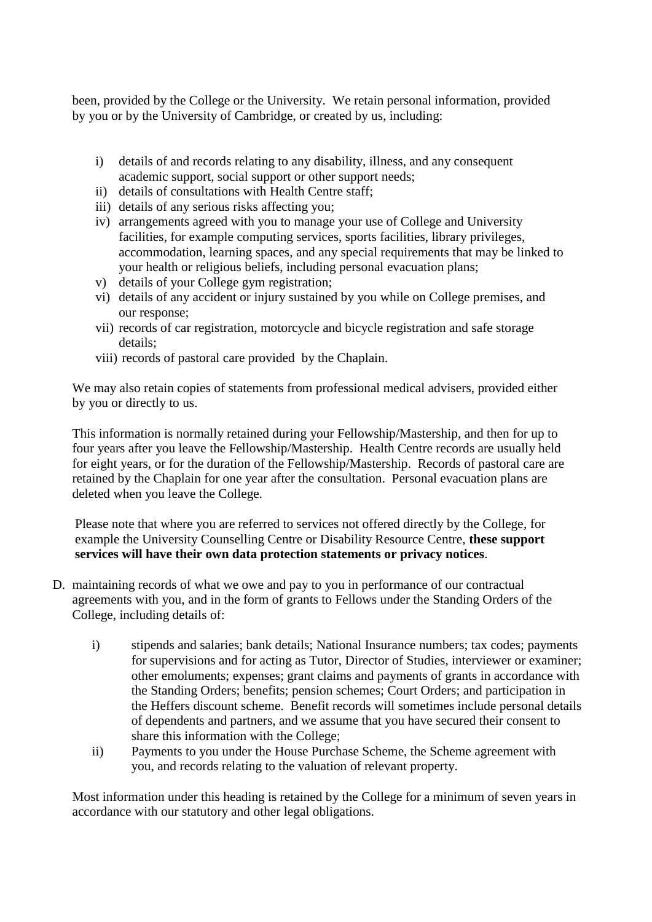been, provided by the College or the University. We retain personal information, provided by you or by the University of Cambridge, or created by us, including:

- i) details of and records relating to any disability, illness, and any consequent academic support, social support or other support needs;
- ii) details of consultations with Health Centre staff;
- iii) details of any serious risks affecting you;
- iv) arrangements agreed with you to manage your use of College and University facilities, for example computing services, sports facilities, library privileges, accommodation, learning spaces, and any special requirements that may be linked to your health or religious beliefs, including personal evacuation plans;
- v) details of your College gym registration;
- vi) details of any accident or injury sustained by you while on College premises, and our response;
- vii) records of car registration, motorcycle and bicycle registration and safe storage details;
- viii) records of pastoral care provided by the Chaplain.

We may also retain copies of statements from professional medical advisers, provided either by you or directly to us.

This information is normally retained during your Fellowship/Mastership, and then for up to four years after you leave the Fellowship/Mastership. Health Centre records are usually held for eight years, or for the duration of the Fellowship/Mastership. Records of pastoral care are retained by the Chaplain for one year after the consultation. Personal evacuation plans are deleted when you leave the College.

Please note that where you are referred to services not offered directly by the College, for example the University Counselling Centre or Disability Resource Centre, **these support services will have their own data protection statements or privacy notices**.

- D. maintaining records of what we owe and pay to you in performance of our contractual agreements with you, and in the form of grants to Fellows under the Standing Orders of the College, including details of:
	- i) stipends and salaries; bank details; National Insurance numbers; tax codes; payments for supervisions and for acting as Tutor, Director of Studies, interviewer or examiner; other emoluments; expenses; grant claims and payments of grants in accordance with the Standing Orders; benefits; pension schemes; Court Orders; and participation in the Heffers discount scheme. Benefit records will sometimes include personal details of dependents and partners, and we assume that you have secured their consent to share this information with the College;
	- ii) Payments to you under the House Purchase Scheme, the Scheme agreement with you, and records relating to the valuation of relevant property.

Most information under this heading is retained by the College for a minimum of seven years in accordance with our statutory and other legal obligations.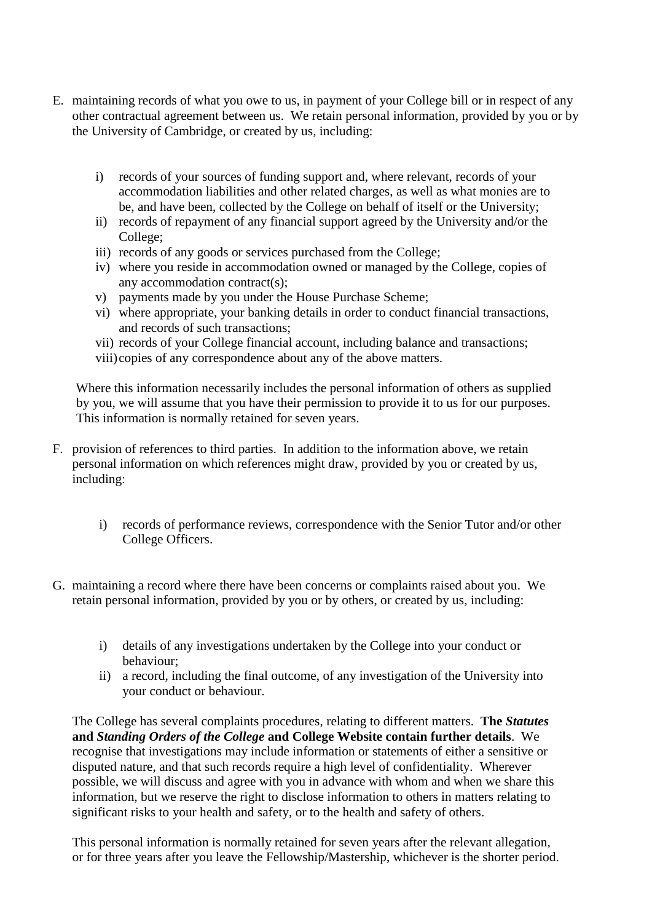- E. maintaining records of what you owe to us, in payment of your College bill or in respect of any other contractual agreement between us. We retain personal information, provided by you or by the University of Cambridge, or created by us, including:
	- i) records of your sources of funding support and, where relevant, records of your accommodation liabilities and other related charges, as well as what monies are to be, and have been, collected by the College on behalf of itself or the University;
	- ii) records of repayment of any financial support agreed by the University and/or the College;
	- iii) records of any goods or services purchased from the College;
	- iv) where you reside in accommodation owned or managed by the College, copies of any accommodation contract(s);
	- v) payments made by you under the House Purchase Scheme;
	- vi) where appropriate, your banking details in order to conduct financial transactions, and records of such transactions;
	- vii) records of your College financial account, including balance and transactions;
	- viii)copies of any correspondence about any of the above matters.

Where this information necessarily includes the personal information of others as supplied by you, we will assume that you have their permission to provide it to us for our purposes. This information is normally retained for seven years.

- F. provision of references to third parties. In addition to the information above, we retain personal information on which references might draw, provided by you or created by us, including:
	- i) records of performance reviews, correspondence with the Senior Tutor and/or other College Officers.
- G. maintaining a record where there have been concerns or complaints raised about you. We retain personal information, provided by you or by others, or created by us, including:
	- i) details of any investigations undertaken by the College into your conduct or behaviour;
	- ii) a record, including the final outcome, of any investigation of the University into your conduct or behaviour.

The College has several complaints procedures, relating to different matters. **The** *Statutes*  **and** *Standing Orders of the College* **and College Website contain further details**. We recognise that investigations may include information or statements of either a sensitive or disputed nature, and that such records require a high level of confidentiality. Wherever possible, we will discuss and agree with you in advance with whom and when we share this information, but we reserve the right to disclose information to others in matters relating to significant risks to your health and safety, or to the health and safety of others.

This personal information is normally retained for seven years after the relevant allegation, or for three years after you leave the Fellowship/Mastership, whichever is the shorter period.